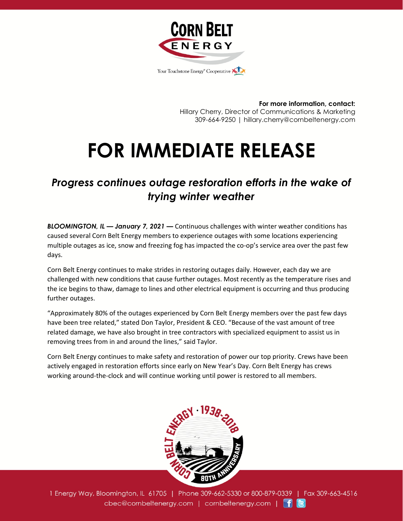

**For more information, contact:** Hillary Cherry, Director of Communications & Marketing 309-664-9250 | hillary.cherry@cornbeltenergy.com

## **FOR IMMEDIATE RELEASE**

## *Progress continues outage restoration efforts in the wake of trying winter weather*

*BLOOMINGTON, IL — January 7, 2021 —* Continuous challenges with winter weather conditions has caused several Corn Belt Energy members to experience outages with some locations experiencing multiple outages as ice, snow and freezing fog has impacted the co-op's service area over the past few days.

Corn Belt Energy continues to make strides in restoring outages daily. However, each day we are challenged with new conditions that cause further outages. Most recently as the temperature rises and the ice begins to thaw, damage to lines and other electrical equipment is occurring and thus producing further outages.

"Approximately 80% of the outages experienced by Corn Belt Energy members over the past few days have been tree related," stated Don Taylor, President & CEO. "Because of the vast amount of tree related damage, we have also brought in tree contractors with specialized equipment to assist us in removing trees from in and around the lines," said Taylor.

Corn Belt Energy continues to make safety and restoration of power our top priority. Crews have been actively engaged in restoration efforts since early on New Year's Day. Corn Belt Energy has crews working around-the-clock and will continue working until power is restored to all members.



1 Energy Way, Bloomington, IL 61705 | Phone 309-662-5330 or 800-879-0339 | Fax 309-663-4516 cbec@cornbeltenergy.com | cornbeltenergy.com | f